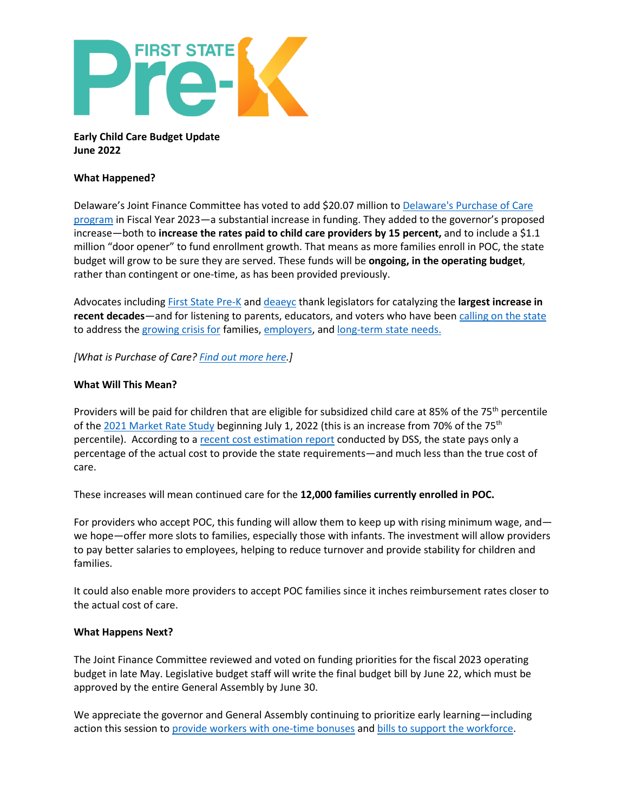

## **Early Child Care Budget Update June 2022**

## **What Happened?**

Delaware's Joint Finance Committee has voted to add \$20.07 million to [Delaware's Purchase of Care](https://www.mychildde.org/wp-content/uploads/purchase-of-care-2019.pdf)  [program](https://www.mychildde.org/wp-content/uploads/purchase-of-care-2019.pdf) in Fiscal Year 2023—a substantial increase in funding. They added to the governor's proposed increase—both to **increase the rates paid to child care providers by 15 percent,** and to include a \$1.1 million "door opener" to fund enrollment growth. That means as more families enroll in POC, the state budget will grow to be sure they are served. These funds will be **ongoing, in the operating budget**, rather than contingent or one-time, as has been provided previously.

Advocates including [First State Pre-K](https://www.firststateprek.com/) and [deaeyc](https://deaeyc.org/) thank legislators for catalyzing the **largest increase in recent decades**—and for listening to parents, educators, and voters who have been [calling on the state](https://rodelde.org/delawareans-share-their-vision-for-child-care-on-advocacy-day/) to address th[e growing crisis for](https://rodelde.org/im-worried-six-quotes-from-delaware-families-that-capture-our-child-care-crisis/) families, [employers,](https://www.philadelphiafed.org/community-development/workforce-and-economic-development/child-care-is-everyones-business-why-delaware-businesses-should-care-about-early-childhood-education) and [long-term state needs.](https://rodelde.org/delaware-recognizing-the-true-cost-of-quality-early-learning/)

*[What is Purchase of Care[? Find out more here.](http://visioncoalitionde.org/wp-content/uploads/2020/12/Purchase-of-Care-1-pager-12.9.20-update.pdf)]*

## **What Will This Mean?**

Providers will be paid for children that are eligible for subsidized child care at 85% of the 75<sup>th</sup> percentile of the [2021 Market Rate Study](https://rodelde.org/what-a-new-market-rate-survey-tells-us-and-doesnt-tell-us-about-child-care-costs/) beginning July 1, 2022 (this is an increase from 70% of the 75<sup>th</sup> percentile). According to a [recent cost estimation report](https://rodelde.org/delaware-recognizing-the-true-cost-of-quality-early-learning/) conducted by DSS, the state pays only a percentage of the actual cost to provide the state requirements—and much less than the true cost of care.

These increases will mean continued care for the **12,000 families currently enrolled in POC.** 

For providers who accept POC, this funding will allow them to keep up with rising minimum wage, and we hope—offer more slots to families, especially those with infants. The investment will allow providers to pay better salaries to employees, helping to reduce turnover and provide stability for children and families.

It could also enable more providers to accept POC families since it inches reimbursement rates closer to the actual cost of care.

## **What Happens Next?**

The Joint Finance Committee reviewed and voted on funding priorities for the fiscal 2023 operating budget in late May. Legislative budget staff will write the final budget bill by June 22, which must be approved by the entire General Assembly by June 30.

We appreciate the governor and General Assembly continuing to prioritize early learning—including action this session to [provide workers with one-time bonuses](https://rodelde.org/delaware-lawmakers-prioritizing-early-care-and-education-workforce/) and [bills to support the workforce.](https://rodelde.org/delaware-lawmakers-prioritizing-early-care-and-education-workforce/)